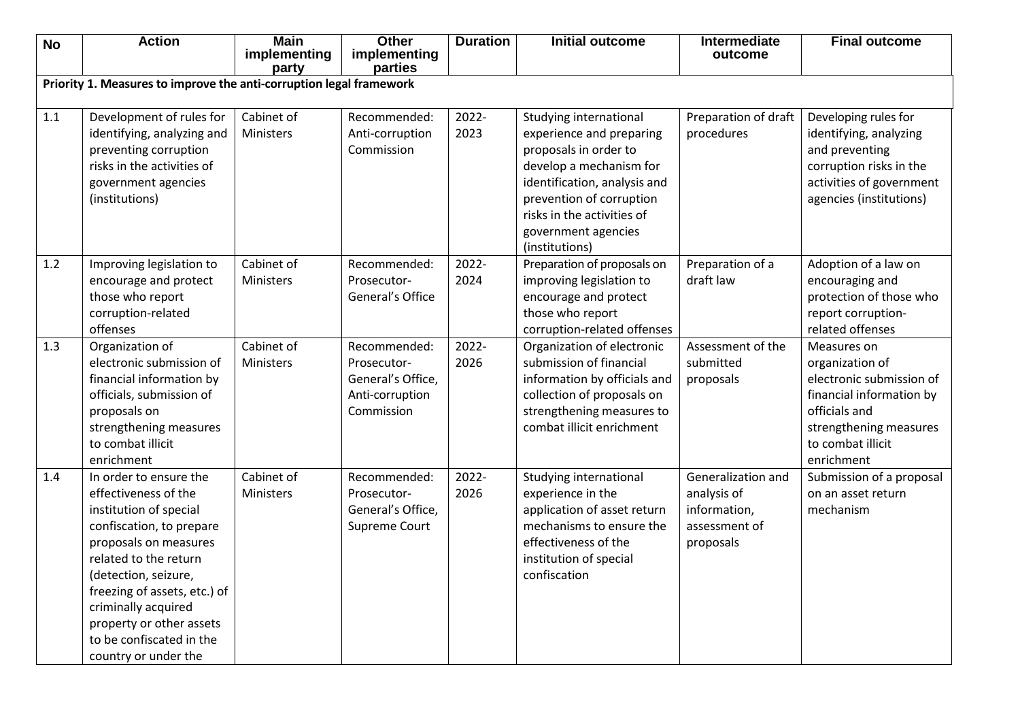| <b>No</b> | <b>Action</b>                                                       | <b>Main</b>           | <b>Other</b>            | <b>Duration</b> | <b>Initial outcome</b>                         | Intermediate         | <b>Final outcome</b>     |
|-----------|---------------------------------------------------------------------|-----------------------|-------------------------|-----------------|------------------------------------------------|----------------------|--------------------------|
|           |                                                                     | implementing<br>party | implementing<br>parties |                 |                                                | outcome              |                          |
|           | Priority 1. Measures to improve the anti-corruption legal framework |                       |                         |                 |                                                |                      |                          |
|           |                                                                     |                       |                         |                 |                                                |                      |                          |
| 1.1       | Development of rules for                                            | Cabinet of            | Recommended:            | 2022-           | Studying international                         | Preparation of draft | Developing rules for     |
|           | identifying, analyzing and                                          | Ministers             | Anti-corruption         | 2023            | experience and preparing                       | procedures           | identifying, analyzing   |
|           | preventing corruption                                               |                       | Commission              |                 | proposals in order to                          |                      | and preventing           |
|           | risks in the activities of                                          |                       |                         |                 | develop a mechanism for                        |                      | corruption risks in the  |
|           | government agencies                                                 |                       |                         |                 | identification, analysis and                   |                      | activities of government |
|           | (institutions)                                                      |                       |                         |                 | prevention of corruption                       |                      | agencies (institutions)  |
|           |                                                                     |                       |                         |                 | risks in the activities of                     |                      |                          |
|           |                                                                     |                       |                         |                 | government agencies                            |                      |                          |
|           |                                                                     |                       |                         |                 | (institutions)                                 |                      |                          |
| 1.2       | Improving legislation to                                            | Cabinet of            | Recommended:            | 2022-           | Preparation of proposals on                    | Preparation of a     | Adoption of a law on     |
|           | encourage and protect                                               | Ministers             | Prosecutor-             | 2024            | improving legislation to                       | draft law            | encouraging and          |
|           | those who report                                                    |                       | General's Office        |                 | encourage and protect                          |                      | protection of those who  |
|           | corruption-related                                                  |                       |                         |                 | those who report                               |                      | report corruption-       |
|           | offenses                                                            |                       |                         |                 | corruption-related offenses                    |                      | related offenses         |
| 1.3       | Organization of                                                     | Cabinet of            | Recommended:            | 2022-           | Organization of electronic                     | Assessment of the    | Measures on              |
|           | electronic submission of                                            | Ministers             | Prosecutor-             | 2026            | submission of financial                        | submitted            | organization of          |
|           | financial information by                                            |                       | General's Office,       |                 | information by officials and                   | proposals            | electronic submission of |
|           | officials, submission of                                            |                       | Anti-corruption         |                 | collection of proposals on                     |                      | financial information by |
|           | proposals on                                                        |                       | Commission              |                 | strengthening measures to                      |                      | officials and            |
|           | strengthening measures                                              |                       |                         |                 | combat illicit enrichment                      |                      | strengthening measures   |
|           | to combat illicit                                                   |                       |                         |                 |                                                |                      | to combat illicit        |
|           | enrichment                                                          |                       |                         |                 |                                                |                      | enrichment               |
| 1.4       | In order to ensure the                                              | Cabinet of            | Recommended:            | 2022-           | Studying international                         | Generalization and   | Submission of a proposal |
|           | effectiveness of the                                                | Ministers             | Prosecutor-             | 2026            | experience in the                              | analysis of          | on an asset return       |
|           | institution of special                                              |                       | General's Office,       |                 | application of asset return                    | information,         | mechanism                |
|           | confiscation, to prepare                                            |                       | Supreme Court           |                 | mechanisms to ensure the                       | assessment of        |                          |
|           | proposals on measures<br>related to the return                      |                       |                         |                 | effectiveness of the<br>institution of special | proposals            |                          |
|           |                                                                     |                       |                         |                 | confiscation                                   |                      |                          |
|           | (detection, seizure,<br>freezing of assets, etc.) of                |                       |                         |                 |                                                |                      |                          |
|           | criminally acquired                                                 |                       |                         |                 |                                                |                      |                          |
|           | property or other assets                                            |                       |                         |                 |                                                |                      |                          |
|           | to be confiscated in the                                            |                       |                         |                 |                                                |                      |                          |
|           | country or under the                                                |                       |                         |                 |                                                |                      |                          |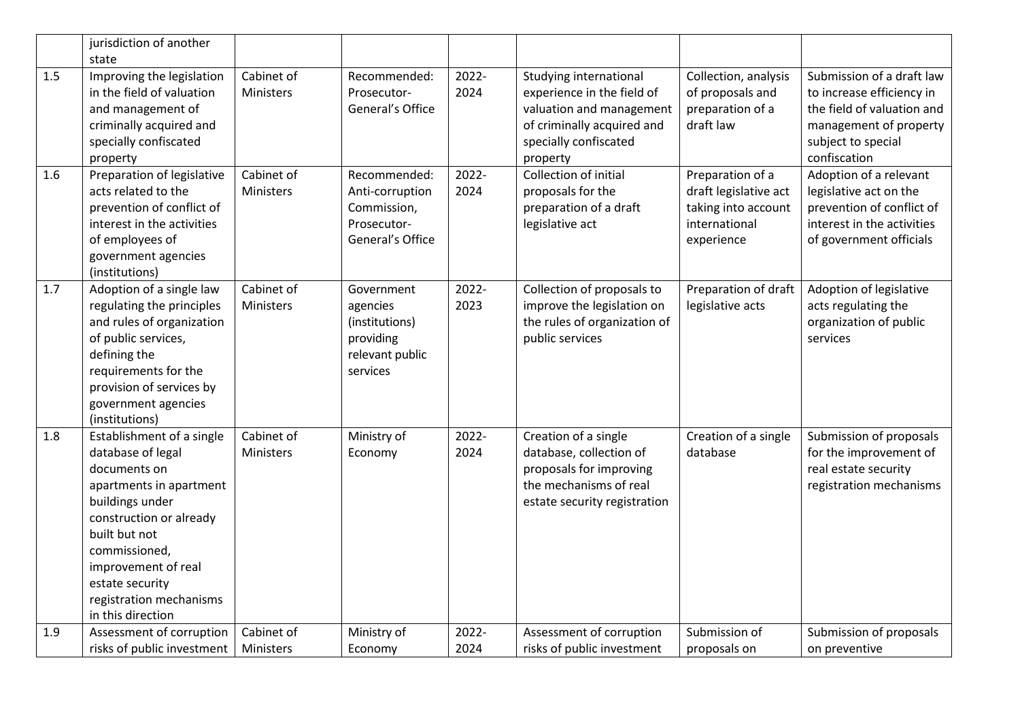|     | jurisdiction of another                                                                                                                                                                                                                                             |                         |                                                                                      |               |                                                                                                                                                     |                                                                                                 |                                                                                                                                                      |
|-----|---------------------------------------------------------------------------------------------------------------------------------------------------------------------------------------------------------------------------------------------------------------------|-------------------------|--------------------------------------------------------------------------------------|---------------|-----------------------------------------------------------------------------------------------------------------------------------------------------|-------------------------------------------------------------------------------------------------|------------------------------------------------------------------------------------------------------------------------------------------------------|
| 1.5 | state<br>Improving the legislation<br>in the field of valuation<br>and management of<br>criminally acquired and<br>specially confiscated<br>property                                                                                                                | Cabinet of<br>Ministers | Recommended:<br>Prosecutor-<br>General's Office                                      | 2022-<br>2024 | Studying international<br>experience in the field of<br>valuation and management<br>of criminally acquired and<br>specially confiscated<br>property | Collection, analysis<br>of proposals and<br>preparation of a<br>draft law                       | Submission of a draft law<br>to increase efficiency in<br>the field of valuation and<br>management of property<br>subject to special<br>confiscation |
| 1.6 | Preparation of legislative<br>acts related to the<br>prevention of conflict of<br>interest in the activities<br>of employees of<br>government agencies<br>(institutions)                                                                                            | Cabinet of<br>Ministers | Recommended:<br>Anti-corruption<br>Commission,<br>Prosecutor-<br>General's Office    | 2022-<br>2024 | Collection of initial<br>proposals for the<br>preparation of a draft<br>legislative act                                                             | Preparation of a<br>draft legislative act<br>taking into account<br>international<br>experience | Adoption of a relevant<br>legislative act on the<br>prevention of conflict of<br>interest in the activities<br>of government officials               |
| 1.7 | Adoption of a single law<br>regulating the principles<br>and rules of organization<br>of public services,<br>defining the<br>requirements for the<br>provision of services by<br>government agencies<br>(institutions)                                              | Cabinet of<br>Ministers | Government<br>agencies<br>(institutions)<br>providing<br>relevant public<br>services | 2022-<br>2023 | Collection of proposals to<br>improve the legislation on<br>the rules of organization of<br>public services                                         | Preparation of draft<br>legislative acts                                                        | Adoption of legislative<br>acts regulating the<br>organization of public<br>services                                                                 |
| 1.8 | Establishment of a single<br>database of legal<br>documents on<br>apartments in apartment<br>buildings under<br>construction or already<br>built but not<br>commissioned,<br>improvement of real<br>estate security<br>registration mechanisms<br>in this direction | Cabinet of<br>Ministers | Ministry of<br>Economy                                                               | 2022-<br>2024 | Creation of a single<br>database, collection of<br>proposals for improving<br>the mechanisms of real<br>estate security registration                | Creation of a single<br>database                                                                | Submission of proposals<br>for the improvement of<br>real estate security<br>registration mechanisms                                                 |
| 1.9 | Assessment of corruption<br>risks of public investment                                                                                                                                                                                                              | Cabinet of<br>Ministers | Ministry of<br>Economy                                                               | 2022-<br>2024 | Assessment of corruption<br>risks of public investment                                                                                              | Submission of<br>proposals on                                                                   | Submission of proposals<br>on preventive                                                                                                             |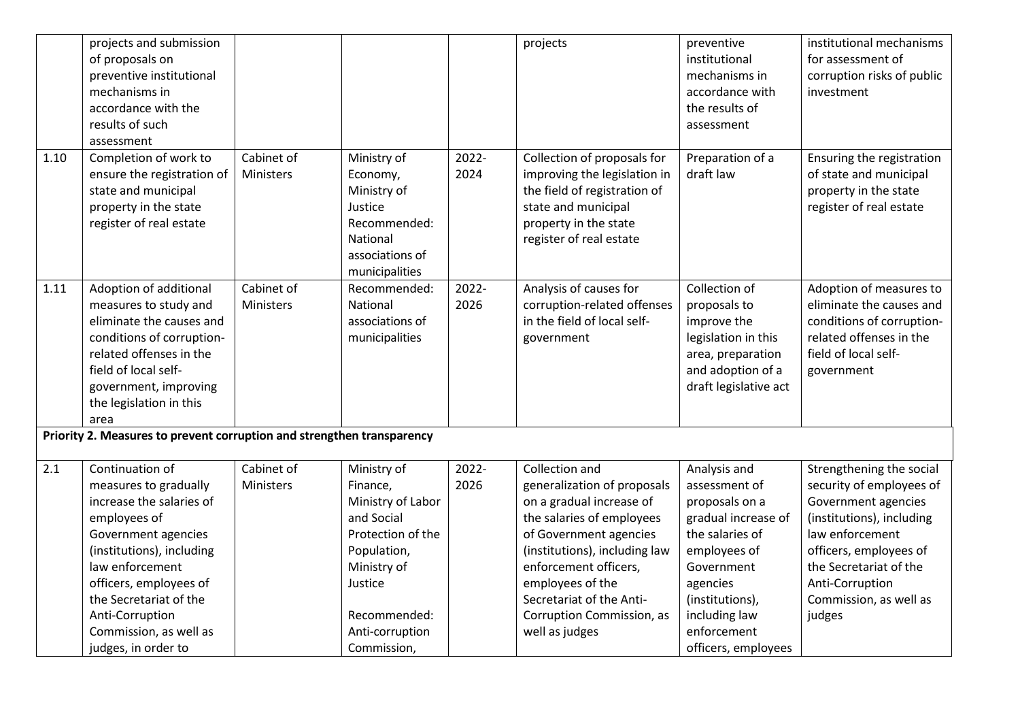|      | projects and submission<br>of proposals on<br>preventive institutional<br>mechanisms in<br>accordance with the<br>results of such<br>assessment                                                                                                                                     |                         |                                                                                                                                                                            |               | projects                                                                                                                                                                                                                                                                                  | preventive<br>institutional<br>mechanisms in<br>accordance with<br>the results of<br>assessment                                                                                                               | institutional mechanisms<br>for assessment of<br>corruption risks of public<br>investment                                                                                                                                              |
|------|-------------------------------------------------------------------------------------------------------------------------------------------------------------------------------------------------------------------------------------------------------------------------------------|-------------------------|----------------------------------------------------------------------------------------------------------------------------------------------------------------------------|---------------|-------------------------------------------------------------------------------------------------------------------------------------------------------------------------------------------------------------------------------------------------------------------------------------------|---------------------------------------------------------------------------------------------------------------------------------------------------------------------------------------------------------------|----------------------------------------------------------------------------------------------------------------------------------------------------------------------------------------------------------------------------------------|
| 1.10 | Completion of work to<br>ensure the registration of<br>state and municipal<br>property in the state<br>register of real estate                                                                                                                                                      | Cabinet of<br>Ministers | Ministry of<br>Economy,<br>Ministry of<br>Justice<br>Recommended:<br>National<br>associations of<br>municipalities                                                         | 2022-<br>2024 | Collection of proposals for<br>improving the legislation in<br>the field of registration of<br>state and municipal<br>property in the state<br>register of real estate                                                                                                                    | Preparation of a<br>draft law                                                                                                                                                                                 | Ensuring the registration<br>of state and municipal<br>property in the state<br>register of real estate                                                                                                                                |
| 1.11 | Adoption of additional<br>measures to study and<br>eliminate the causes and<br>conditions of corruption-<br>related offenses in the<br>field of local self-<br>government, improving<br>the legislation in this<br>area                                                             | Cabinet of<br>Ministers | Recommended:<br><b>National</b><br>associations of<br>municipalities                                                                                                       | 2022-<br>2026 | Analysis of causes for<br>corruption-related offenses<br>in the field of local self-<br>government                                                                                                                                                                                        | Collection of<br>proposals to<br>improve the<br>legislation in this<br>area, preparation<br>and adoption of a<br>draft legislative act                                                                        | Adoption of measures to<br>eliminate the causes and<br>conditions of corruption-<br>related offenses in the<br>field of local self-<br>government                                                                                      |
|      | Priority 2. Measures to prevent corruption and strengthen transparency                                                                                                                                                                                                              |                         |                                                                                                                                                                            |               |                                                                                                                                                                                                                                                                                           |                                                                                                                                                                                                               |                                                                                                                                                                                                                                        |
| 2.1  | Continuation of<br>measures to gradually<br>increase the salaries of<br>employees of<br>Government agencies<br>(institutions), including<br>law enforcement<br>officers, employees of<br>the Secretariat of the<br>Anti-Corruption<br>Commission, as well as<br>judges, in order to | Cabinet of<br>Ministers | Ministry of<br>Finance,<br>Ministry of Labor<br>and Social<br>Protection of the<br>Population,<br>Ministry of<br>Justice<br>Recommended:<br>Anti-corruption<br>Commission, | 2022-<br>2026 | Collection and<br>generalization of proposals<br>on a gradual increase of<br>the salaries of employees<br>of Government agencies<br>(institutions), including law<br>enforcement officers,<br>employees of the<br>Secretariat of the Anti-<br>Corruption Commission, as<br>well as judges | Analysis and<br>assessment of<br>proposals on a<br>gradual increase of<br>the salaries of<br>employees of<br>Government<br>agencies<br>(institutions),<br>including law<br>enforcement<br>officers, employees | Strengthening the social<br>security of employees of<br>Government agencies<br>(institutions), including<br>law enforcement<br>officers, employees of<br>the Secretariat of the<br>Anti-Corruption<br>Commission, as well as<br>judges |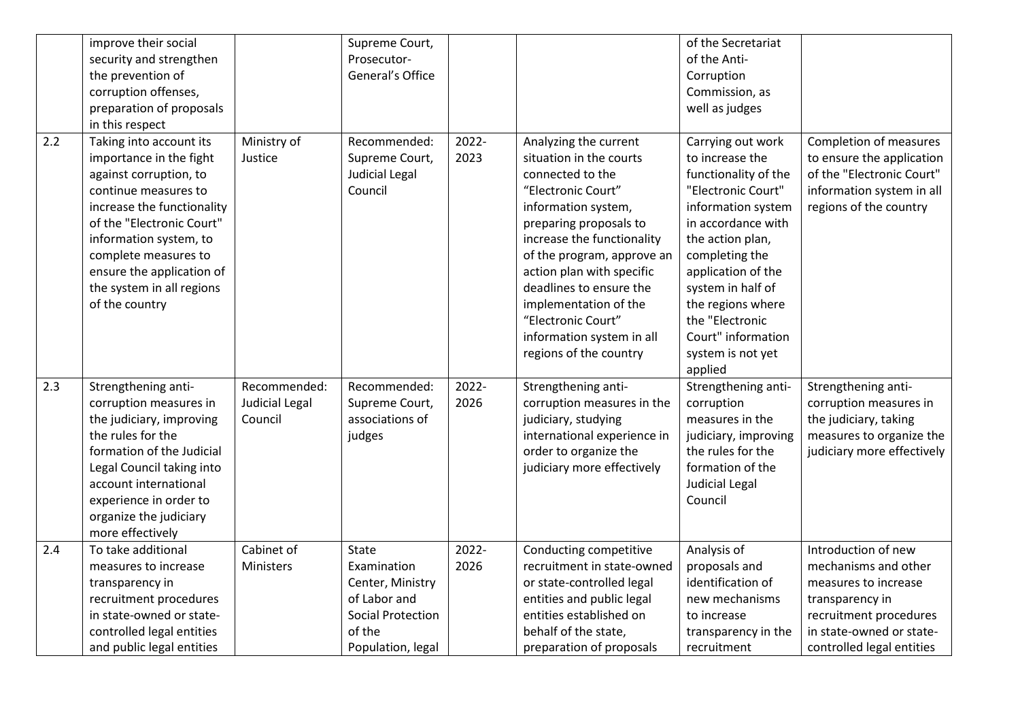|     | improve their social<br>security and strengthen<br>the prevention of<br>corruption offenses,<br>preparation of proposals<br>in this respect                                                                                                                                                   |                                           | Supreme Court,<br>Prosecutor-<br>General's Office                                                                          |               |                                                                                                                                                                                                                                                                                                                                                                       | of the Secretariat<br>of the Anti-<br>Corruption<br>Commission, as<br>well as judges                                                                                                                                                                                                                          |                                                                                                                                                                           |
|-----|-----------------------------------------------------------------------------------------------------------------------------------------------------------------------------------------------------------------------------------------------------------------------------------------------|-------------------------------------------|----------------------------------------------------------------------------------------------------------------------------|---------------|-----------------------------------------------------------------------------------------------------------------------------------------------------------------------------------------------------------------------------------------------------------------------------------------------------------------------------------------------------------------------|---------------------------------------------------------------------------------------------------------------------------------------------------------------------------------------------------------------------------------------------------------------------------------------------------------------|---------------------------------------------------------------------------------------------------------------------------------------------------------------------------|
| 2.2 | Taking into account its<br>importance in the fight<br>against corruption, to<br>continue measures to<br>increase the functionality<br>of the "Electronic Court"<br>information system, to<br>complete measures to<br>ensure the application of<br>the system in all regions<br>of the country | Ministry of<br>Justice                    | Recommended:<br>Supreme Court,<br>Judicial Legal<br>Council                                                                | 2022-<br>2023 | Analyzing the current<br>situation in the courts<br>connected to the<br>"Electronic Court"<br>information system,<br>preparing proposals to<br>increase the functionality<br>of the program, approve an<br>action plan with specific<br>deadlines to ensure the<br>implementation of the<br>"Electronic Court"<br>information system in all<br>regions of the country | Carrying out work<br>to increase the<br>functionality of the<br>"Electronic Court"<br>information system<br>in accordance with<br>the action plan,<br>completing the<br>application of the<br>system in half of<br>the regions where<br>the "Electronic<br>Court" information<br>system is not yet<br>applied | <b>Completion of measures</b><br>to ensure the application<br>of the "Electronic Court"<br>information system in all<br>regions of the country                            |
| 2.3 | Strengthening anti-<br>corruption measures in<br>the judiciary, improving<br>the rules for the<br>formation of the Judicial<br>Legal Council taking into<br>account international<br>experience in order to<br>organize the judiciary<br>more effectively                                     | Recommended:<br>Judicial Legal<br>Council | Recommended:<br>Supreme Court,<br>associations of<br>judges                                                                | 2022-<br>2026 | Strengthening anti-<br>corruption measures in the<br>judiciary, studying<br>international experience in<br>order to organize the<br>judiciary more effectively                                                                                                                                                                                                        | Strengthening anti-<br>corruption<br>measures in the<br>judiciary, improving<br>the rules for the<br>formation of the<br><b>Judicial Legal</b><br>Council                                                                                                                                                     | Strengthening anti-<br>corruption measures in<br>the judiciary, taking<br>measures to organize the<br>judiciary more effectively                                          |
| 2.4 | To take additional<br>measures to increase<br>transparency in<br>recruitment procedures<br>in state-owned or state-<br>controlled legal entities<br>and public legal entities                                                                                                                 | Cabinet of<br>Ministers                   | <b>State</b><br>Examination<br>Center, Ministry<br>of Labor and<br><b>Social Protection</b><br>of the<br>Population, legal | 2022-<br>2026 | Conducting competitive<br>recruitment in state-owned<br>or state-controlled legal<br>entities and public legal<br>entities established on<br>behalf of the state,<br>preparation of proposals                                                                                                                                                                         | Analysis of<br>proposals and<br>identification of<br>new mechanisms<br>to increase<br>transparency in the<br>recruitment                                                                                                                                                                                      | Introduction of new<br>mechanisms and other<br>measures to increase<br>transparency in<br>recruitment procedures<br>in state-owned or state-<br>controlled legal entities |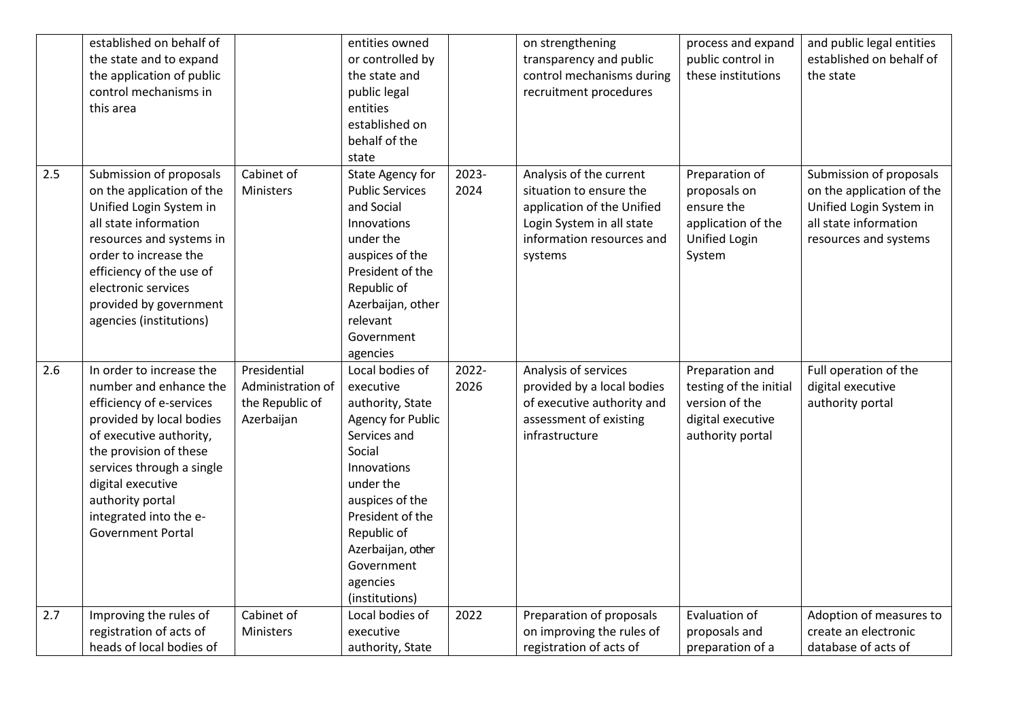|     | established on behalf of  |                   | entities owned           |       | on strengthening           | process and expand     | and public legal entities |
|-----|---------------------------|-------------------|--------------------------|-------|----------------------------|------------------------|---------------------------|
|     | the state and to expand   |                   | or controlled by         |       | transparency and public    | public control in      | established on behalf of  |
|     | the application of public |                   | the state and            |       | control mechanisms during  | these institutions     | the state                 |
|     | control mechanisms in     |                   | public legal             |       | recruitment procedures     |                        |                           |
|     | this area                 |                   | entities                 |       |                            |                        |                           |
|     |                           |                   | established on           |       |                            |                        |                           |
|     |                           |                   | behalf of the            |       |                            |                        |                           |
|     |                           |                   | state                    |       |                            |                        |                           |
| 2.5 | Submission of proposals   | Cabinet of        | State Agency for         | 2023- | Analysis of the current    | Preparation of         | Submission of proposals   |
|     | on the application of the | Ministers         | <b>Public Services</b>   | 2024  | situation to ensure the    | proposals on           | on the application of the |
|     | Unified Login System in   |                   | and Social               |       | application of the Unified | ensure the             | Unified Login System in   |
|     | all state information     |                   | Innovations              |       | Login System in all state  | application of the     | all state information     |
|     | resources and systems in  |                   | under the                |       | information resources and  | Unified Login          | resources and systems     |
|     | order to increase the     |                   | auspices of the          |       | systems                    | System                 |                           |
|     | efficiency of the use of  |                   | President of the         |       |                            |                        |                           |
|     | electronic services       |                   | Republic of              |       |                            |                        |                           |
|     | provided by government    |                   | Azerbaijan, other        |       |                            |                        |                           |
|     | agencies (institutions)   |                   | relevant                 |       |                            |                        |                           |
|     |                           |                   | Government               |       |                            |                        |                           |
|     |                           |                   | agencies                 |       |                            |                        |                           |
| 2.6 | In order to increase the  | Presidential      | Local bodies of          | 2022- | Analysis of services       | Preparation and        | Full operation of the     |
|     | number and enhance the    | Administration of | executive                | 2026  | provided by a local bodies | testing of the initial | digital executive         |
|     | efficiency of e-services  | the Republic of   | authority, State         |       | of executive authority and | version of the         | authority portal          |
|     | provided by local bodies  | Azerbaijan        | <b>Agency for Public</b> |       | assessment of existing     | digital executive      |                           |
|     | of executive authority,   |                   | Services and             |       | infrastructure             | authority portal       |                           |
|     | the provision of these    |                   | Social                   |       |                            |                        |                           |
|     | services through a single |                   | Innovations              |       |                            |                        |                           |
|     | digital executive         |                   | under the                |       |                            |                        |                           |
|     | authority portal          |                   | auspices of the          |       |                            |                        |                           |
|     | integrated into the e-    |                   | President of the         |       |                            |                        |                           |
|     | <b>Government Portal</b>  |                   | Republic of              |       |                            |                        |                           |
|     |                           |                   | Azerbaijan, other        |       |                            |                        |                           |
|     |                           |                   | Government               |       |                            |                        |                           |
|     |                           |                   | agencies                 |       |                            |                        |                           |
|     |                           |                   | (institutions)           |       |                            |                        |                           |
| 2.7 | Improving the rules of    | Cabinet of        | Local bodies of          | 2022  | Preparation of proposals   | Evaluation of          | Adoption of measures to   |
|     | registration of acts of   | Ministers         | executive                |       | on improving the rules of  | proposals and          | create an electronic      |
|     | heads of local bodies of  |                   | authority, State         |       | registration of acts of    | preparation of a       | database of acts of       |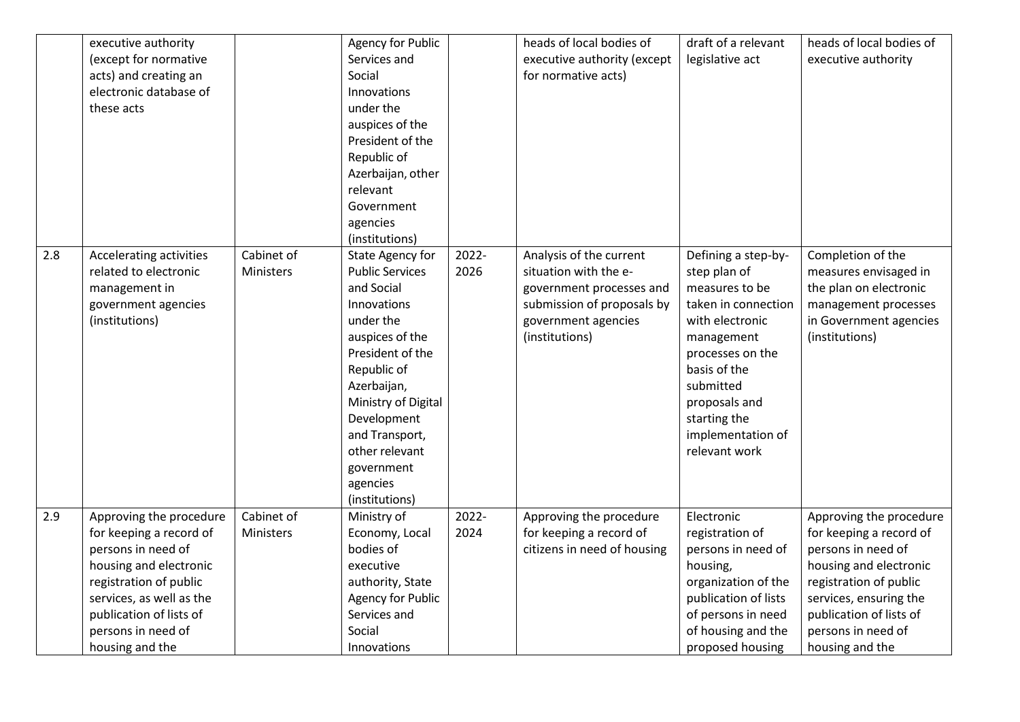|     | executive authority<br>(except for normative<br>acts) and creating an<br>electronic database of<br>these acts                                                                                                                |                         | <b>Agency for Public</b><br>Services and<br>Social<br>Innovations<br>under the<br>auspices of the<br>President of the<br>Republic of<br>Azerbaijan, other<br>relevant<br>Government<br>agencies<br>(institutions)                                                               |               | heads of local bodies of<br>executive authority (except<br>for normative acts)                                                                      | draft of a relevant<br>legislative act                                                                                                                                                                                                | heads of local bodies of<br>executive authority                                                                                                                                                                            |
|-----|------------------------------------------------------------------------------------------------------------------------------------------------------------------------------------------------------------------------------|-------------------------|---------------------------------------------------------------------------------------------------------------------------------------------------------------------------------------------------------------------------------------------------------------------------------|---------------|-----------------------------------------------------------------------------------------------------------------------------------------------------|---------------------------------------------------------------------------------------------------------------------------------------------------------------------------------------------------------------------------------------|----------------------------------------------------------------------------------------------------------------------------------------------------------------------------------------------------------------------------|
| 2.8 | Accelerating activities<br>related to electronic<br>management in<br>government agencies<br>(institutions)                                                                                                                   | Cabinet of<br>Ministers | State Agency for<br><b>Public Services</b><br>and Social<br>Innovations<br>under the<br>auspices of the<br>President of the<br>Republic of<br>Azerbaijan,<br>Ministry of Digital<br>Development<br>and Transport,<br>other relevant<br>government<br>agencies<br>(institutions) | 2022-<br>2026 | Analysis of the current<br>situation with the e-<br>government processes and<br>submission of proposals by<br>government agencies<br>(institutions) | Defining a step-by-<br>step plan of<br>measures to be<br>taken in connection<br>with electronic<br>management<br>processes on the<br>basis of the<br>submitted<br>proposals and<br>starting the<br>implementation of<br>relevant work | Completion of the<br>measures envisaged in<br>the plan on electronic<br>management processes<br>in Government agencies<br>(institutions)                                                                                   |
| 2.9 | Approving the procedure<br>for keeping a record of<br>persons in need of<br>housing and electronic<br>registration of public<br>services, as well as the<br>publication of lists of<br>persons in need of<br>housing and the | Cabinet of<br>Ministers | Ministry of<br>Economy, Local<br>bodies of<br>executive<br>authority, State<br>Agency for Public<br>Services and<br>Social<br>Innovations                                                                                                                                       | 2022-<br>2024 | Approving the procedure<br>for keeping a record of<br>citizens in need of housing                                                                   | Electronic<br>registration of<br>persons in need of<br>housing,<br>organization of the<br>publication of lists<br>of persons in need<br>of housing and the<br>proposed housing                                                        | Approving the procedure<br>for keeping a record of<br>persons in need of<br>housing and electronic<br>registration of public<br>services, ensuring the<br>publication of lists of<br>persons in need of<br>housing and the |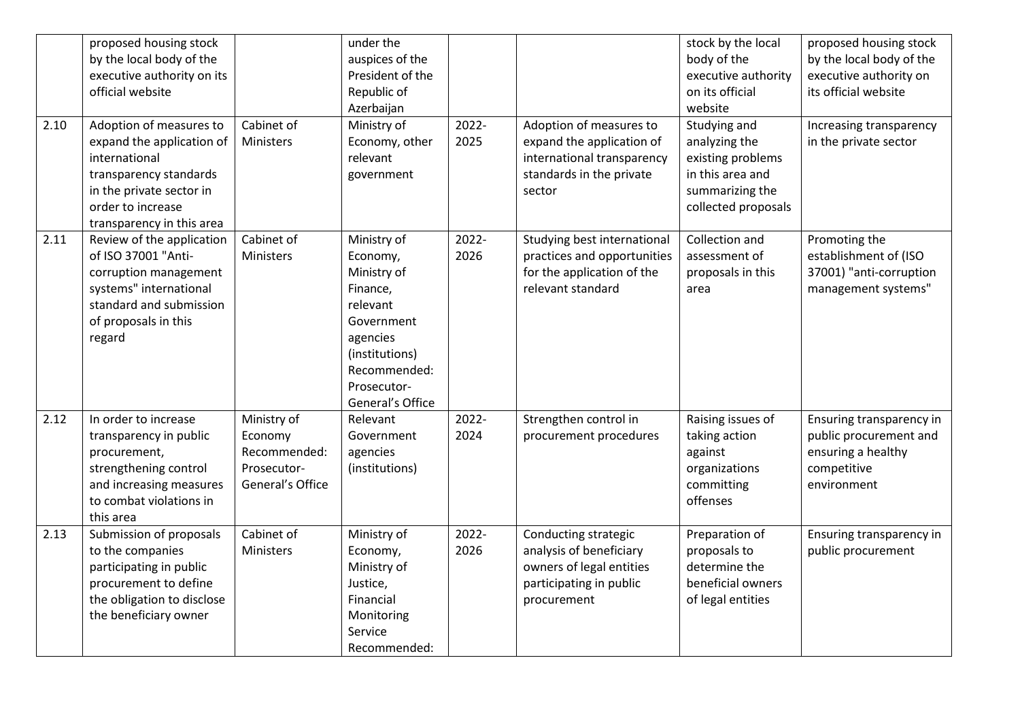| 2.10 | proposed housing stock<br>by the local body of the<br>executive authority on its<br>official website<br>Adoption of measures to<br>expand the application of<br>international<br>transparency standards<br>in the private sector in<br>order to increase<br>transparency in this area | Cabinet of<br>Ministers                                                   | under the<br>auspices of the<br>President of the<br>Republic of<br>Azerbaijan<br>Ministry of<br>Economy, other<br>relevant<br>government                      | 2022-<br>2025 | Adoption of measures to<br>expand the application of<br>international transparency<br>standards in the private<br>sector | stock by the local<br>body of the<br>executive authority<br>on its official<br>website<br>Studying and<br>analyzing the<br>existing problems<br>in this area and<br>summarizing the<br>collected proposals | proposed housing stock<br>by the local body of the<br>executive authority on<br>its official website<br>Increasing transparency<br>in the private sector |
|------|---------------------------------------------------------------------------------------------------------------------------------------------------------------------------------------------------------------------------------------------------------------------------------------|---------------------------------------------------------------------------|---------------------------------------------------------------------------------------------------------------------------------------------------------------|---------------|--------------------------------------------------------------------------------------------------------------------------|------------------------------------------------------------------------------------------------------------------------------------------------------------------------------------------------------------|----------------------------------------------------------------------------------------------------------------------------------------------------------|
| 2.11 | Review of the application<br>of ISO 37001 "Anti-<br>corruption management<br>systems" international<br>standard and submission<br>of proposals in this<br>regard                                                                                                                      | Cabinet of<br>Ministers                                                   | Ministry of<br>Economy,<br>Ministry of<br>Finance,<br>relevant<br>Government<br>agencies<br>(institutions)<br>Recommended:<br>Prosecutor-<br>General's Office | 2022-<br>2026 | Studying best international<br>practices and opportunities<br>for the application of the<br>relevant standard            | Collection and<br>assessment of<br>proposals in this<br>area                                                                                                                                               | Promoting the<br>establishment of (ISO<br>37001) "anti-corruption<br>management systems"                                                                 |
| 2.12 | In order to increase<br>transparency in public<br>procurement,<br>strengthening control<br>and increasing measures<br>to combat violations in<br>this area                                                                                                                            | Ministry of<br>Economy<br>Recommended:<br>Prosecutor-<br>General's Office | Relevant<br>Government<br>agencies<br>(institutions)                                                                                                          | 2022-<br>2024 | Strengthen control in<br>procurement procedures                                                                          | Raising issues of<br>taking action<br>against<br>organizations<br>committing<br>offenses                                                                                                                   | Ensuring transparency in<br>public procurement and<br>ensuring a healthy<br>competitive<br>environment                                                   |
| 2.13 | Submission of proposals<br>to the companies<br>participating in public<br>procurement to define<br>the obligation to disclose<br>the beneficiary owner                                                                                                                                | Cabinet of<br>Ministers                                                   | Ministry of<br>Economy,<br>Ministry of<br>Justice,<br>Financial<br>Monitoring<br>Service<br>Recommended:                                                      | 2022-<br>2026 | Conducting strategic<br>analysis of beneficiary<br>owners of legal entities<br>participating in public<br>procurement    | Preparation of<br>proposals to<br>determine the<br>beneficial owners<br>of legal entities                                                                                                                  | Ensuring transparency in<br>public procurement                                                                                                           |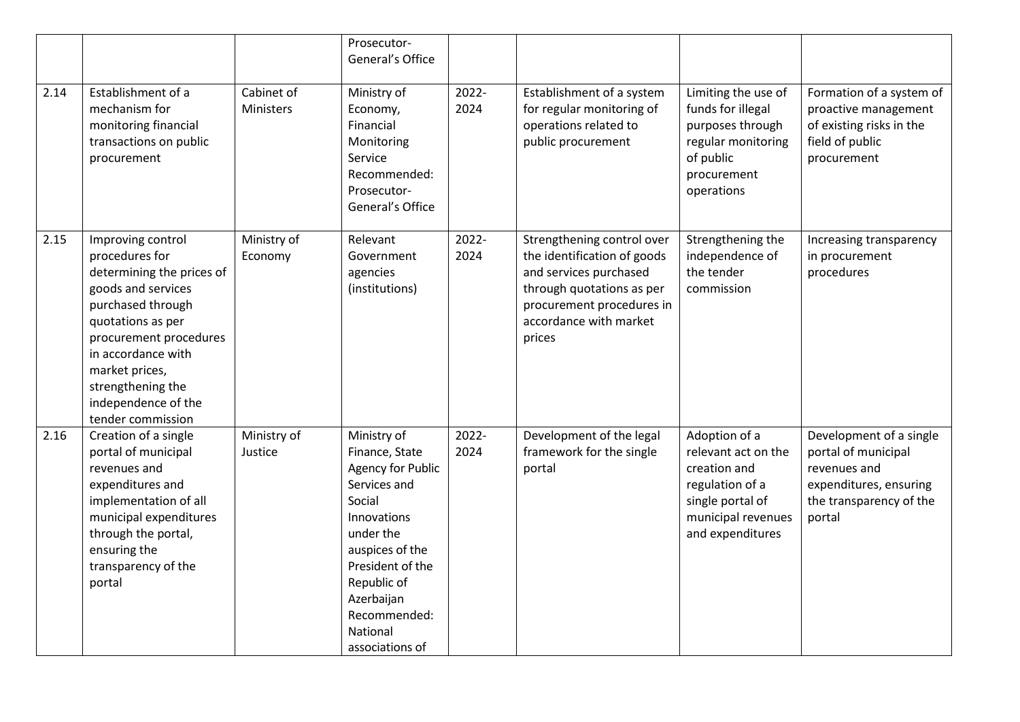|      |                                                                                                                                                                                                                                                                     |                         | Prosecutor-<br>General's Office                                                                                                                                                                                                    |               |                                                                                                                                                                                   |                                                                                                                                       |                                                                                                                               |
|------|---------------------------------------------------------------------------------------------------------------------------------------------------------------------------------------------------------------------------------------------------------------------|-------------------------|------------------------------------------------------------------------------------------------------------------------------------------------------------------------------------------------------------------------------------|---------------|-----------------------------------------------------------------------------------------------------------------------------------------------------------------------------------|---------------------------------------------------------------------------------------------------------------------------------------|-------------------------------------------------------------------------------------------------------------------------------|
| 2.14 | Establishment of a<br>mechanism for<br>monitoring financial<br>transactions on public<br>procurement                                                                                                                                                                | Cabinet of<br>Ministers | Ministry of<br>Economy,<br>Financial<br>Monitoring<br>Service<br>Recommended:<br>Prosecutor-<br>General's Office                                                                                                                   | 2022-<br>2024 | Establishment of a system<br>for regular monitoring of<br>operations related to<br>public procurement                                                                             | Limiting the use of<br>funds for illegal<br>purposes through<br>regular monitoring<br>of public<br>procurement<br>operations          | Formation of a system of<br>proactive management<br>of existing risks in the<br>field of public<br>procurement                |
| 2.15 | Improving control<br>procedures for<br>determining the prices of<br>goods and services<br>purchased through<br>quotations as per<br>procurement procedures<br>in accordance with<br>market prices,<br>strengthening the<br>independence of the<br>tender commission | Ministry of<br>Economy  | Relevant<br>Government<br>agencies<br>(institutions)                                                                                                                                                                               | 2022-<br>2024 | Strengthening control over<br>the identification of goods<br>and services purchased<br>through quotations as per<br>procurement procedures in<br>accordance with market<br>prices | Strengthening the<br>independence of<br>the tender<br>commission                                                                      | Increasing transparency<br>in procurement<br>procedures                                                                       |
| 2.16 | Creation of a single<br>portal of municipal<br>revenues and<br>expenditures and<br>implementation of all<br>municipal expenditures<br>through the portal,<br>ensuring the<br>transparency of the<br>portal                                                          | Ministry of<br>Justice  | Ministry of<br>Finance, State<br><b>Agency for Public</b><br>Services and<br>Social<br>Innovations<br>under the<br>auspices of the<br>President of the<br>Republic of<br>Azerbaijan<br>Recommended:<br>National<br>associations of | 2022-<br>2024 | Development of the legal<br>framework for the single<br>portal                                                                                                                    | Adoption of a<br>relevant act on the<br>creation and<br>regulation of a<br>single portal of<br>municipal revenues<br>and expenditures | Development of a single<br>portal of municipal<br>revenues and<br>expenditures, ensuring<br>the transparency of the<br>portal |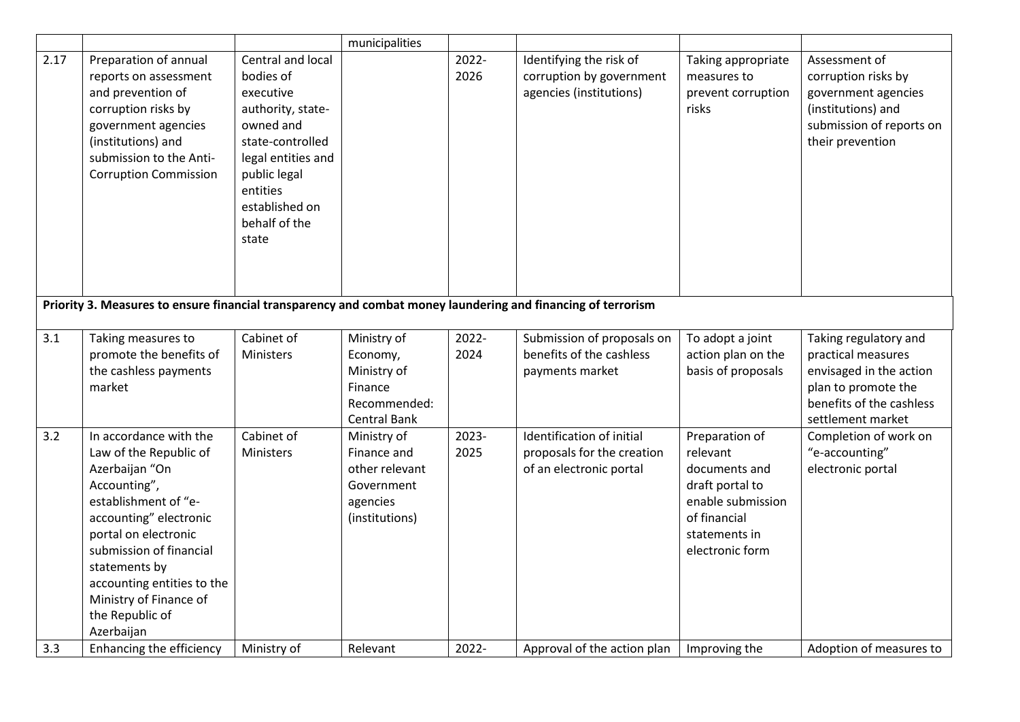|      |                                                                                                                                                                                                                                                                                                   |                                                                                                                                                                                                 | municipalities                                                                           |               |                                                                                    |                                                                                                                                         |                                                                                                                                                |
|------|---------------------------------------------------------------------------------------------------------------------------------------------------------------------------------------------------------------------------------------------------------------------------------------------------|-------------------------------------------------------------------------------------------------------------------------------------------------------------------------------------------------|------------------------------------------------------------------------------------------|---------------|------------------------------------------------------------------------------------|-----------------------------------------------------------------------------------------------------------------------------------------|------------------------------------------------------------------------------------------------------------------------------------------------|
| 2.17 | Preparation of annual<br>reports on assessment<br>and prevention of<br>corruption risks by<br>government agencies<br>(institutions) and<br>submission to the Anti-<br><b>Corruption Commission</b>                                                                                                | Central and local<br>bodies of<br>executive<br>authority, state-<br>owned and<br>state-controlled<br>legal entities and<br>public legal<br>entities<br>established on<br>behalf of the<br>state |                                                                                          | 2022-<br>2026 | Identifying the risk of<br>corruption by government<br>agencies (institutions)     | Taking appropriate<br>measures to<br>prevent corruption<br>risks                                                                        | Assessment of<br>corruption risks by<br>government agencies<br>(institutions) and<br>submission of reports on<br>their prevention              |
|      | Priority 3. Measures to ensure financial transparency and combat money laundering and financing of terrorism                                                                                                                                                                                      |                                                                                                                                                                                                 |                                                                                          |               |                                                                                    |                                                                                                                                         |                                                                                                                                                |
| 3.1  | Taking measures to<br>promote the benefits of<br>the cashless payments<br>market                                                                                                                                                                                                                  | Cabinet of<br>Ministers                                                                                                                                                                         | Ministry of<br>Economy,<br>Ministry of<br>Finance<br>Recommended:<br><b>Central Bank</b> | 2022-<br>2024 | Submission of proposals on<br>benefits of the cashless<br>payments market          | To adopt a joint<br>action plan on the<br>basis of proposals                                                                            | Taking regulatory and<br>practical measures<br>envisaged in the action<br>plan to promote the<br>benefits of the cashless<br>settlement market |
| 3.2  | In accordance with the<br>Law of the Republic of<br>Azerbaijan "On<br>Accounting",<br>establishment of "e-<br>accounting" electronic<br>portal on electronic<br>submission of financial<br>statements by<br>accounting entities to the<br>Ministry of Finance of<br>the Republic of<br>Azerbaijan | Cabinet of<br>Ministers                                                                                                                                                                         | Ministry of<br>Finance and<br>other relevant<br>Government<br>agencies<br>(institutions) | 2023-<br>2025 | Identification of initial<br>proposals for the creation<br>of an electronic portal | Preparation of<br>relevant<br>documents and<br>draft portal to<br>enable submission<br>of financial<br>statements in<br>electronic form | Completion of work on<br>"e-accounting"<br>electronic portal                                                                                   |
| 3.3  | Enhancing the efficiency                                                                                                                                                                                                                                                                          | Ministry of                                                                                                                                                                                     | Relevant                                                                                 | 2022-         | Approval of the action plan                                                        | Improving the                                                                                                                           | Adoption of measures to                                                                                                                        |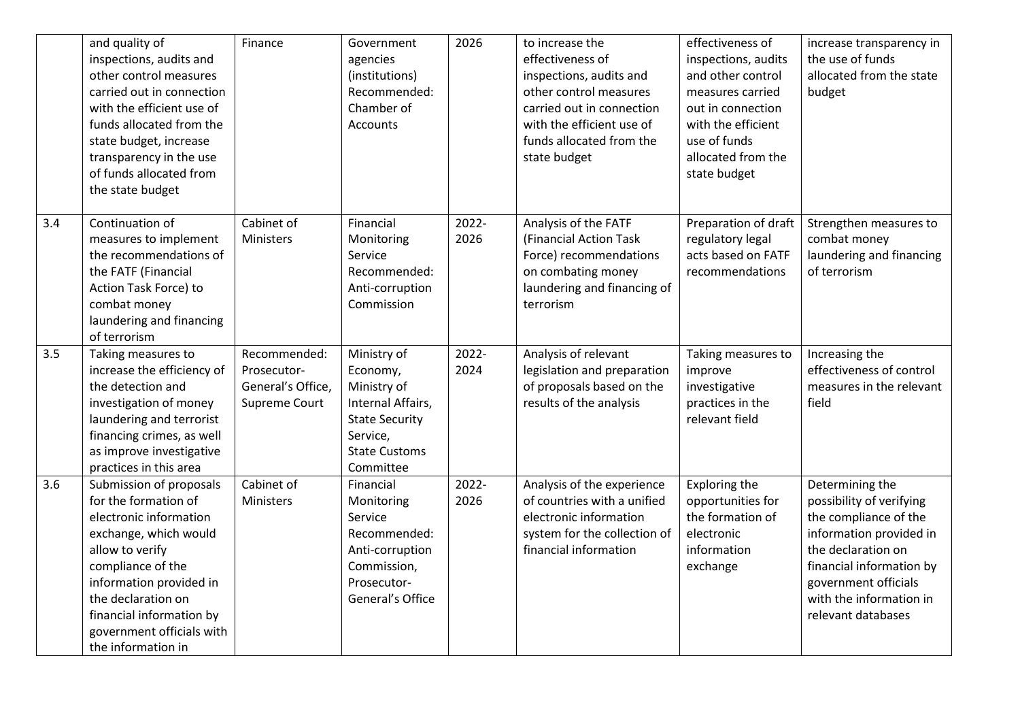|     | and quality of<br>inspections, audits and<br>other control measures<br>carried out in connection<br>with the efficient use of<br>funds allocated from the<br>state budget, increase<br>transparency in the use<br>of funds allocated from<br>the state budget              | Finance                                                           | Government<br>agencies<br>(institutions)<br>Recommended:<br>Chamber of<br><b>Accounts</b>                                             | 2026          | to increase the<br>effectiveness of<br>inspections, audits and<br>other control measures<br>carried out in connection<br>with the efficient use of<br>funds allocated from the<br>state budget | effectiveness of<br>inspections, audits<br>and other control<br>measures carried<br>out in connection<br>with the efficient<br>use of funds<br>allocated from the<br>state budget | increase transparency in<br>the use of funds<br>allocated from the state<br>budget                                                                                                                                         |
|-----|----------------------------------------------------------------------------------------------------------------------------------------------------------------------------------------------------------------------------------------------------------------------------|-------------------------------------------------------------------|---------------------------------------------------------------------------------------------------------------------------------------|---------------|------------------------------------------------------------------------------------------------------------------------------------------------------------------------------------------------|-----------------------------------------------------------------------------------------------------------------------------------------------------------------------------------|----------------------------------------------------------------------------------------------------------------------------------------------------------------------------------------------------------------------------|
| 3.4 | Continuation of<br>measures to implement<br>the recommendations of<br>the FATF (Financial<br>Action Task Force) to<br>combat money<br>laundering and financing<br>of terrorism                                                                                             | Cabinet of<br>Ministers                                           | Financial<br>Monitoring<br>Service<br>Recommended:<br>Anti-corruption<br>Commission                                                   | 2022-<br>2026 | Analysis of the FATF<br>(Financial Action Task<br>Force) recommendations<br>on combating money<br>laundering and financing of<br>terrorism                                                     | Preparation of draft<br>regulatory legal<br>acts based on FATF<br>recommendations                                                                                                 | Strengthen measures to<br>combat money<br>laundering and financing<br>of terrorism                                                                                                                                         |
| 3.5 | Taking measures to<br>increase the efficiency of<br>the detection and<br>investigation of money<br>laundering and terrorist<br>financing crimes, as well<br>as improve investigative<br>practices in this area                                                             | Recommended:<br>Prosecutor-<br>General's Office,<br>Supreme Court | Ministry of<br>Economy,<br>Ministry of<br>Internal Affairs,<br><b>State Security</b><br>Service,<br><b>State Customs</b><br>Committee | 2022-<br>2024 | Analysis of relevant<br>legislation and preparation<br>of proposals based on the<br>results of the analysis                                                                                    | Taking measures to<br>improve<br>investigative<br>practices in the<br>relevant field                                                                                              | Increasing the<br>effectiveness of control<br>measures in the relevant<br>field                                                                                                                                            |
| 3.6 | Submission of proposals<br>for the formation of<br>electronic information<br>exchange, which would<br>allow to verify<br>compliance of the<br>information provided in<br>the declaration on<br>financial information by<br>government officials with<br>the information in | Cabinet of<br>Ministers                                           | Financial<br>Monitoring<br>Service<br>Recommended:<br>Anti-corruption<br>Commission,<br>Prosecutor-<br>General's Office               | 2022-<br>2026 | Analysis of the experience<br>of countries with a unified<br>electronic information<br>system for the collection of<br>financial information                                                   | Exploring the<br>opportunities for<br>the formation of<br>electronic<br>information<br>exchange                                                                                   | Determining the<br>possibility of verifying<br>the compliance of the<br>information provided in<br>the declaration on<br>financial information by<br>government officials<br>with the information in<br>relevant databases |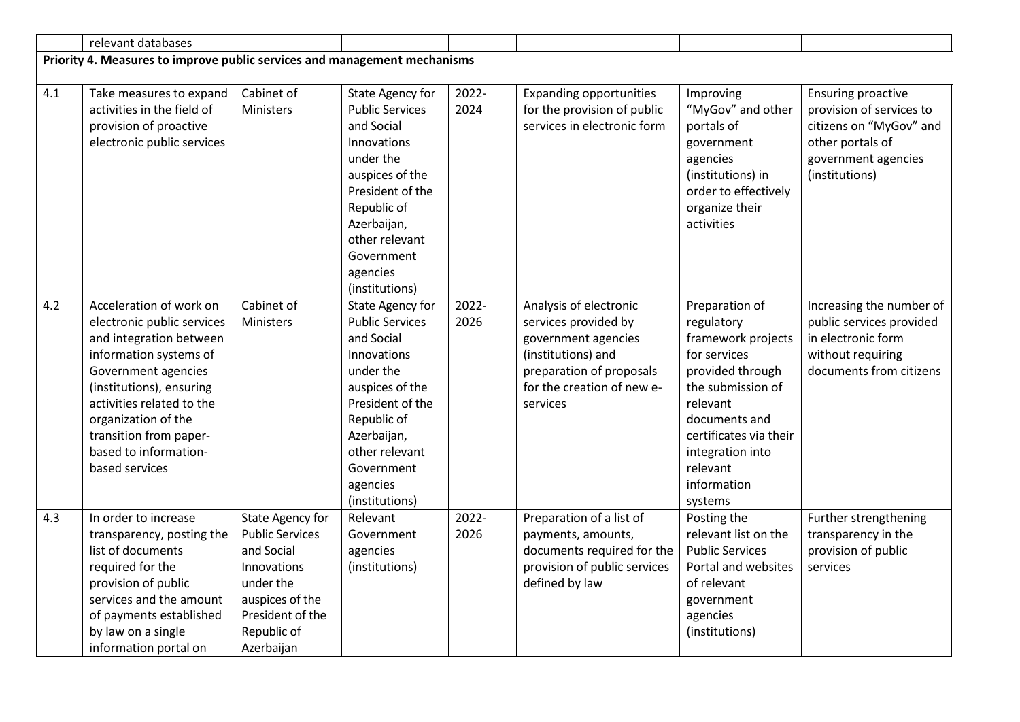|     | relevant databases                                                        |                        |                            |       |                                |                              |                           |
|-----|---------------------------------------------------------------------------|------------------------|----------------------------|-------|--------------------------------|------------------------------|---------------------------|
|     | Priority 4. Measures to improve public services and management mechanisms |                        |                            |       |                                |                              |                           |
|     |                                                                           |                        |                            |       |                                |                              |                           |
| 4.1 | Take measures to expand                                                   | Cabinet of             | State Agency for           | 2022- | <b>Expanding opportunities</b> | Improving                    | <b>Ensuring proactive</b> |
|     | activities in the field of                                                | Ministers              | <b>Public Services</b>     | 2024  | for the provision of public    | "MyGov" and other            | provision of services to  |
|     | provision of proactive                                                    |                        | and Social                 |       | services in electronic form    | portals of                   | citizens on "MyGov" and   |
|     | electronic public services                                                |                        | <b>Innovations</b>         |       |                                | government                   | other portals of          |
|     |                                                                           |                        | under the                  |       |                                | agencies                     | government agencies       |
|     |                                                                           |                        | auspices of the            |       |                                | (institutions) in            | (institutions)            |
|     |                                                                           |                        | President of the           |       |                                | order to effectively         |                           |
|     |                                                                           |                        | Republic of<br>Azerbaijan, |       |                                | organize their<br>activities |                           |
|     |                                                                           |                        | other relevant             |       |                                |                              |                           |
|     |                                                                           |                        | Government                 |       |                                |                              |                           |
|     |                                                                           |                        | agencies                   |       |                                |                              |                           |
|     |                                                                           |                        | (institutions)             |       |                                |                              |                           |
| 4.2 | Acceleration of work on                                                   | Cabinet of             | State Agency for           | 2022- | Analysis of electronic         | Preparation of               | Increasing the number of  |
|     | electronic public services                                                | Ministers              | <b>Public Services</b>     | 2026  | services provided by           | regulatory                   | public services provided  |
|     | and integration between                                                   |                        | and Social                 |       | government agencies            | framework projects           | in electronic form        |
|     | information systems of                                                    |                        | Innovations                |       | (institutions) and             | for services                 | without requiring         |
|     | Government agencies                                                       |                        | under the                  |       | preparation of proposals       | provided through             | documents from citizens   |
|     | (institutions), ensuring                                                  |                        | auspices of the            |       | for the creation of new e-     | the submission of            |                           |
|     | activities related to the                                                 |                        | President of the           |       | services                       | relevant                     |                           |
|     | organization of the                                                       |                        | Republic of                |       |                                | documents and                |                           |
|     | transition from paper-                                                    |                        | Azerbaijan,                |       |                                | certificates via their       |                           |
|     | based to information-                                                     |                        | other relevant             |       |                                | integration into             |                           |
|     | based services                                                            |                        | Government                 |       |                                | relevant                     |                           |
|     |                                                                           |                        | agencies                   |       |                                | information                  |                           |
|     |                                                                           |                        | (institutions)             |       |                                | systems                      |                           |
| 4.3 | In order to increase                                                      | State Agency for       | Relevant                   | 2022- | Preparation of a list of       | Posting the                  | Further strengthening     |
|     | transparency, posting the                                                 | <b>Public Services</b> | Government                 | 2026  | payments, amounts,             | relevant list on the         | transparency in the       |
|     | list of documents                                                         | and Social             | agencies                   |       | documents required for the     | <b>Public Services</b>       | provision of public       |
|     | required for the                                                          | Innovations            | (institutions)             |       | provision of public services   | Portal and websites          | services                  |
|     | provision of public                                                       | under the              |                            |       | defined by law                 | of relevant                  |                           |
|     | services and the amount                                                   | auspices of the        |                            |       |                                | government                   |                           |
|     | of payments established                                                   | President of the       |                            |       |                                | agencies                     |                           |
|     | by law on a single                                                        | Republic of            |                            |       |                                | (institutions)               |                           |
|     | information portal on                                                     | Azerbaijan             |                            |       |                                |                              |                           |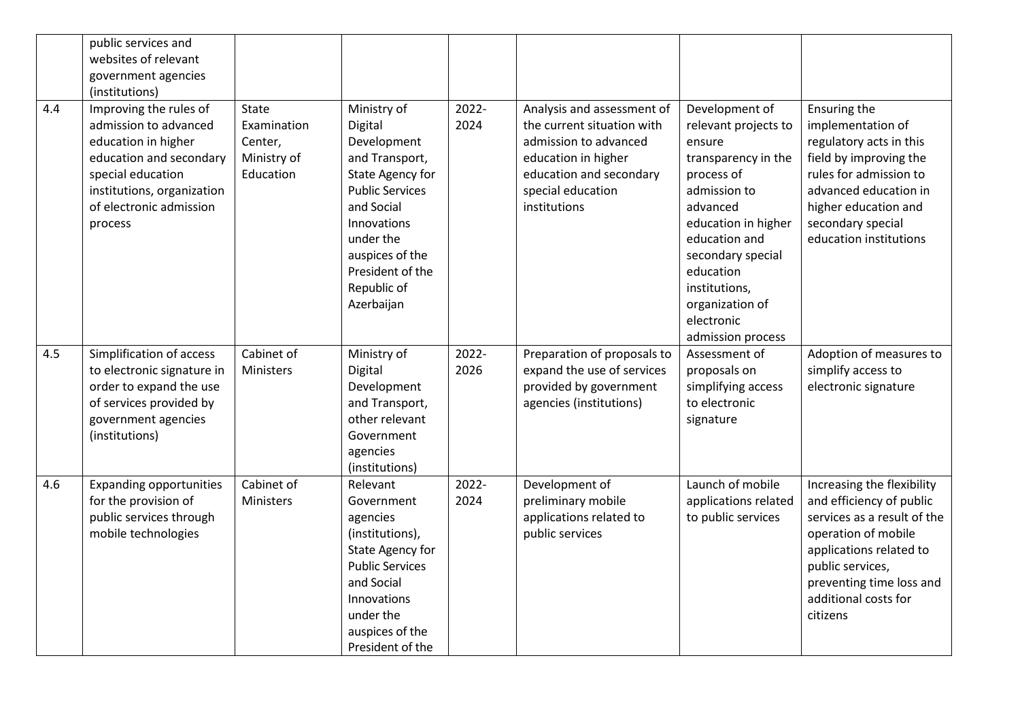|     | public services and            |              |                         |       |                             |                      |                             |
|-----|--------------------------------|--------------|-------------------------|-------|-----------------------------|----------------------|-----------------------------|
|     | websites of relevant           |              |                         |       |                             |                      |                             |
|     | government agencies            |              |                         |       |                             |                      |                             |
|     | (institutions)                 |              |                         |       |                             |                      |                             |
| 4.4 | Improving the rules of         | <b>State</b> | Ministry of             | 2022- | Analysis and assessment of  | Development of       | Ensuring the                |
|     | admission to advanced          | Examination  | Digital                 | 2024  | the current situation with  | relevant projects to | implementation of           |
|     | education in higher            | Center,      | Development             |       | admission to advanced       | ensure               | regulatory acts in this     |
|     | education and secondary        | Ministry of  | and Transport,          |       | education in higher         | transparency in the  | field by improving the      |
|     | special education              | Education    | <b>State Agency for</b> |       | education and secondary     | process of           | rules for admission to      |
|     | institutions, organization     |              | <b>Public Services</b>  |       | special education           | admission to         | advanced education in       |
|     | of electronic admission        |              | and Social              |       | institutions                | advanced             | higher education and        |
|     | process                        |              | Innovations             |       |                             | education in higher  | secondary special           |
|     |                                |              | under the               |       |                             | education and        | education institutions      |
|     |                                |              | auspices of the         |       |                             | secondary special    |                             |
|     |                                |              | President of the        |       |                             | education            |                             |
|     |                                |              | Republic of             |       |                             | institutions,        |                             |
|     |                                |              | Azerbaijan              |       |                             | organization of      |                             |
|     |                                |              |                         |       |                             | electronic           |                             |
|     |                                |              |                         |       |                             | admission process    |                             |
| 4.5 | Simplification of access       | Cabinet of   | Ministry of             | 2022- | Preparation of proposals to | Assessment of        | Adoption of measures to     |
|     | to electronic signature in     | Ministers    | Digital                 | 2026  | expand the use of services  | proposals on         | simplify access to          |
|     | order to expand the use        |              | Development             |       | provided by government      | simplifying access   | electronic signature        |
|     | of services provided by        |              | and Transport,          |       | agencies (institutions)     | to electronic        |                             |
|     | government agencies            |              | other relevant          |       |                             | signature            |                             |
|     | (institutions)                 |              | Government              |       |                             |                      |                             |
|     |                                |              | agencies                |       |                             |                      |                             |
|     |                                |              | (institutions)          |       |                             |                      |                             |
| 4.6 |                                |              |                         |       |                             |                      |                             |
|     | <b>Expanding opportunities</b> | Cabinet of   | Relevant                | 2022- | Development of              | Launch of mobile     | Increasing the flexibility  |
|     | for the provision of           | Ministers    | Government              | 2024  | preliminary mobile          | applications related | and efficiency of public    |
|     | public services through        |              | agencies                |       | applications related to     | to public services   | services as a result of the |
|     | mobile technologies            |              | (institutions),         |       | public services             |                      | operation of mobile         |
|     |                                |              | <b>State Agency for</b> |       |                             |                      | applications related to     |
|     |                                |              | <b>Public Services</b>  |       |                             |                      | public services,            |
|     |                                |              | and Social              |       |                             |                      | preventing time loss and    |
|     |                                |              | Innovations             |       |                             |                      | additional costs for        |
|     |                                |              | under the               |       |                             |                      | citizens                    |
|     |                                |              | auspices of the         |       |                             |                      |                             |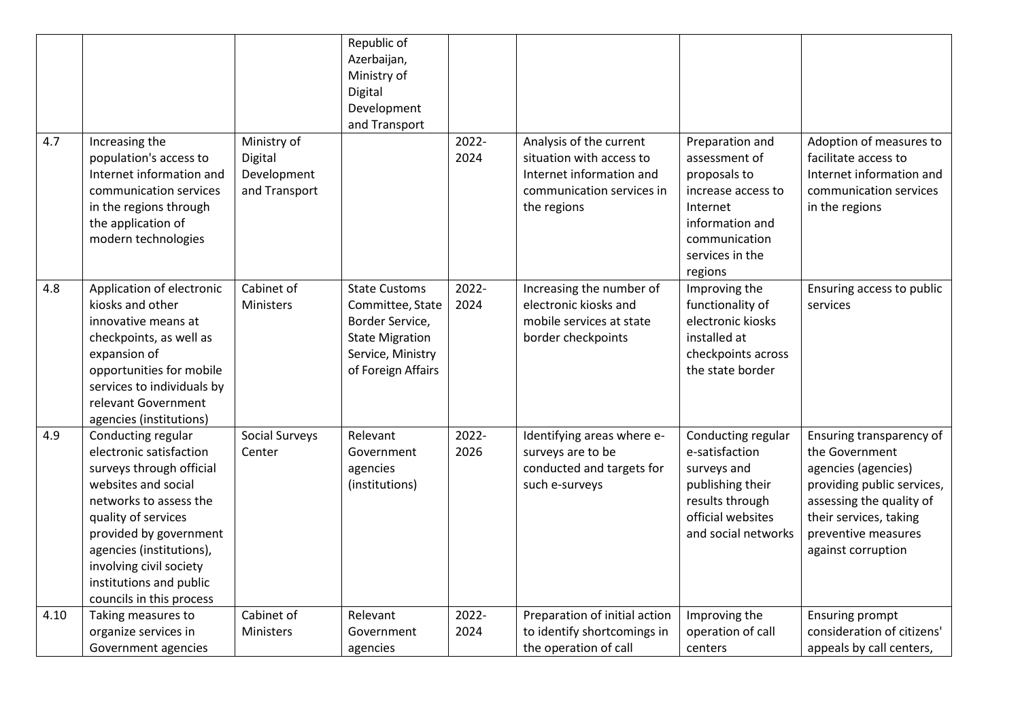|      |                                                                                                                                                                                                                                                                                           |                                                        | Republic of<br>Azerbaijan,<br>Ministry of<br>Digital<br>Development<br>and Transport                                             |               |                                                                                                                             |                                                                                                                                                      |                                                                                                                                                                                                    |
|------|-------------------------------------------------------------------------------------------------------------------------------------------------------------------------------------------------------------------------------------------------------------------------------------------|--------------------------------------------------------|----------------------------------------------------------------------------------------------------------------------------------|---------------|-----------------------------------------------------------------------------------------------------------------------------|------------------------------------------------------------------------------------------------------------------------------------------------------|----------------------------------------------------------------------------------------------------------------------------------------------------------------------------------------------------|
| 4.7  | Increasing the<br>population's access to<br>Internet information and<br>communication services<br>in the regions through<br>the application of<br>modern technologies                                                                                                                     | Ministry of<br>Digital<br>Development<br>and Transport |                                                                                                                                  | 2022-<br>2024 | Analysis of the current<br>situation with access to<br>Internet information and<br>communication services in<br>the regions | Preparation and<br>assessment of<br>proposals to<br>increase access to<br>Internet<br>information and<br>communication<br>services in the<br>regions | Adoption of measures to<br>facilitate access to<br>Internet information and<br>communication services<br>in the regions                                                                            |
| 4.8  | Application of electronic<br>kiosks and other<br>innovative means at<br>checkpoints, as well as<br>expansion of<br>opportunities for mobile<br>services to individuals by<br>relevant Government<br>agencies (institutions)                                                               | Cabinet of<br>Ministers                                | <b>State Customs</b><br>Committee, State<br>Border Service,<br><b>State Migration</b><br>Service, Ministry<br>of Foreign Affairs | 2022-<br>2024 | Increasing the number of<br>electronic kiosks and<br>mobile services at state<br>border checkpoints                         | Improving the<br>functionality of<br>electronic kiosks<br>installed at<br>checkpoints across<br>the state border                                     | Ensuring access to public<br>services                                                                                                                                                              |
| 4.9  | Conducting regular<br>electronic satisfaction<br>surveys through official<br>websites and social<br>networks to assess the<br>quality of services<br>provided by government<br>agencies (institutions),<br>involving civil society<br>institutions and public<br>councils in this process | Social Surveys<br>Center                               | Relevant<br>Government<br>agencies<br>(institutions)                                                                             | 2022-<br>2026 | Identifying areas where e-<br>surveys are to be<br>conducted and targets for<br>such e-surveys                              | Conducting regular<br>e-satisfaction<br>surveys and<br>publishing their<br>results through<br>official websites<br>and social networks               | Ensuring transparency of<br>the Government<br>agencies (agencies)<br>providing public services,<br>assessing the quality of<br>their services, taking<br>preventive measures<br>against corruption |
| 4.10 | Taking measures to<br>organize services in<br>Government agencies                                                                                                                                                                                                                         | Cabinet of<br>Ministers                                | Relevant<br>Government<br>agencies                                                                                               | 2022-<br>2024 | Preparation of initial action<br>to identify shortcomings in<br>the operation of call                                       | Improving the<br>operation of call<br>centers                                                                                                        | <b>Ensuring prompt</b><br>consideration of citizens'<br>appeals by call centers,                                                                                                                   |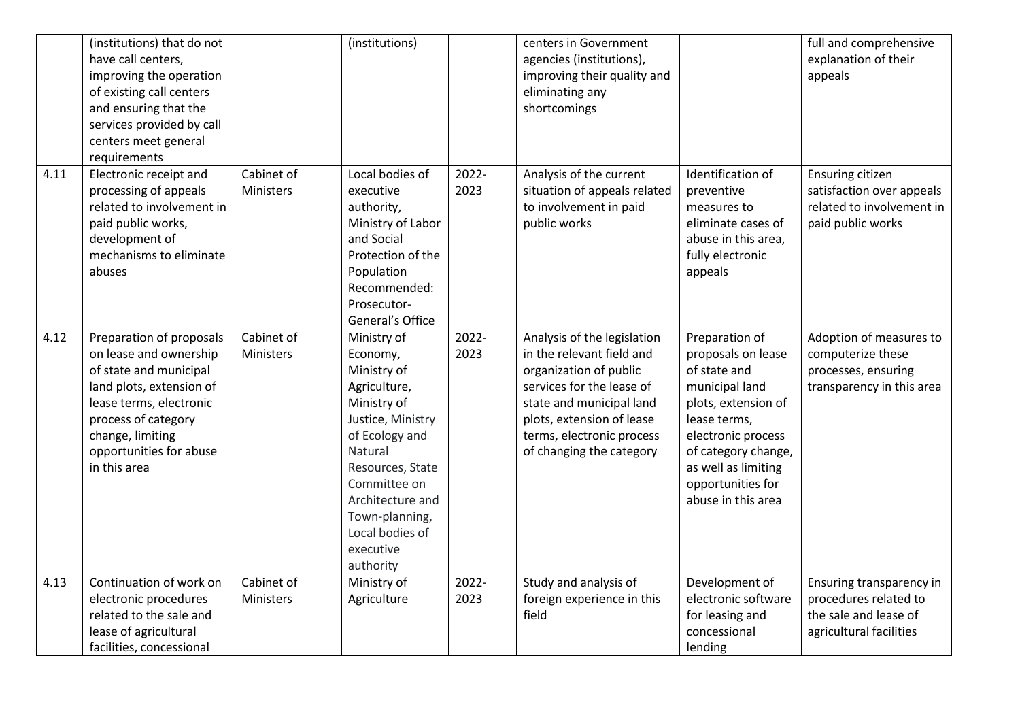|      | (institutions) that do not<br>have call centers,<br>improving the operation<br>of existing call centers<br>and ensuring that the<br>services provided by call<br>centers meet general<br>requirements                     |                                | (institutions)                                                                                                                                                                                                                                 |               | centers in Government<br>agencies (institutions),<br>improving their quality and<br>eliminating any<br>shortcomings                                                                                                               |                                                                                                                                                                                                                              | full and comprehensive<br>explanation of their<br>appeals                                             |
|------|---------------------------------------------------------------------------------------------------------------------------------------------------------------------------------------------------------------------------|--------------------------------|------------------------------------------------------------------------------------------------------------------------------------------------------------------------------------------------------------------------------------------------|---------------|-----------------------------------------------------------------------------------------------------------------------------------------------------------------------------------------------------------------------------------|------------------------------------------------------------------------------------------------------------------------------------------------------------------------------------------------------------------------------|-------------------------------------------------------------------------------------------------------|
| 4.11 | Electronic receipt and<br>processing of appeals<br>related to involvement in<br>paid public works,<br>development of<br>mechanisms to eliminate<br>abuses                                                                 | Cabinet of<br>Ministers        | Local bodies of<br>executive<br>authority,<br>Ministry of Labor<br>and Social<br>Protection of the<br>Population<br>Recommended:<br>Prosecutor-<br>General's Office                                                                            | 2022-<br>2023 | Analysis of the current<br>situation of appeals related<br>to involvement in paid<br>public works                                                                                                                                 | Identification of<br>preventive<br>measures to<br>eliminate cases of<br>abuse in this area,<br>fully electronic<br>appeals                                                                                                   | Ensuring citizen<br>satisfaction over appeals<br>related to involvement in<br>paid public works       |
| 4.12 | Preparation of proposals<br>on lease and ownership<br>of state and municipal<br>land plots, extension of<br>lease terms, electronic<br>process of category<br>change, limiting<br>opportunities for abuse<br>in this area | Cabinet of<br>Ministers        | Ministry of<br>Economy,<br>Ministry of<br>Agriculture,<br>Ministry of<br>Justice, Ministry<br>of Ecology and<br>Natural<br>Resources, State<br>Committee on<br>Architecture and<br>Town-planning,<br>Local bodies of<br>executive<br>authority | 2022-<br>2023 | Analysis of the legislation<br>in the relevant field and<br>organization of public<br>services for the lease of<br>state and municipal land<br>plots, extension of lease<br>terms, electronic process<br>of changing the category | Preparation of<br>proposals on lease<br>of state and<br>municipal land<br>plots, extension of<br>lease terms,<br>electronic process<br>of category change,<br>as well as limiting<br>opportunities for<br>abuse in this area | Adoption of measures to<br>computerize these<br>processes, ensuring<br>transparency in this area      |
| 4.13 | Continuation of work on<br>electronic procedures<br>related to the sale and<br>lease of agricultural<br>facilities, concessional                                                                                          | Cabinet of<br><b>Ministers</b> | Ministry of<br>Agriculture                                                                                                                                                                                                                     | 2022-<br>2023 | Study and analysis of<br>foreign experience in this<br>field                                                                                                                                                                      | Development of<br>electronic software<br>for leasing and<br>concessional<br>lending                                                                                                                                          | Ensuring transparency in<br>procedures related to<br>the sale and lease of<br>agricultural facilities |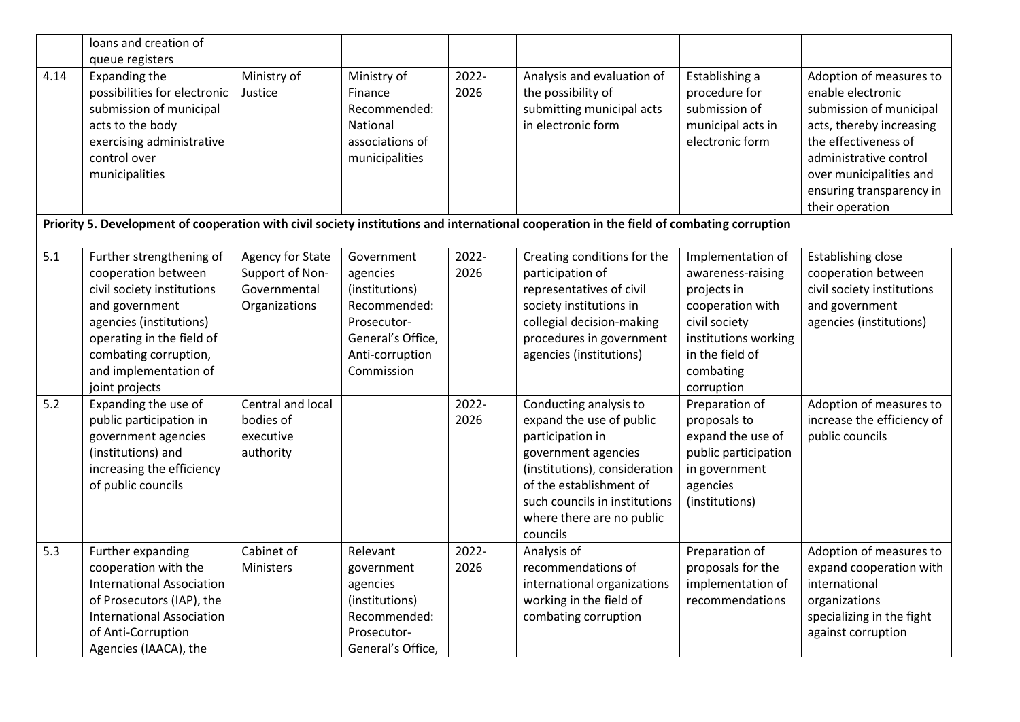|      | loans and creation of                                                                                                                                                                                                       |                                                                      |                                                                                                                               |               |                                                                                                                                                                                                                                     |                                                                                                                                                                  |                                                                                                                                                                                                                                 |
|------|-----------------------------------------------------------------------------------------------------------------------------------------------------------------------------------------------------------------------------|----------------------------------------------------------------------|-------------------------------------------------------------------------------------------------------------------------------|---------------|-------------------------------------------------------------------------------------------------------------------------------------------------------------------------------------------------------------------------------------|------------------------------------------------------------------------------------------------------------------------------------------------------------------|---------------------------------------------------------------------------------------------------------------------------------------------------------------------------------------------------------------------------------|
|      | queue registers                                                                                                                                                                                                             |                                                                      |                                                                                                                               |               |                                                                                                                                                                                                                                     |                                                                                                                                                                  |                                                                                                                                                                                                                                 |
| 4.14 | Expanding the<br>possibilities for electronic<br>submission of municipal<br>acts to the body<br>exercising administrative<br>control over<br>municipalities                                                                 | Ministry of<br>Justice                                               | Ministry of<br>Finance<br>Recommended:<br>National<br>associations of<br>municipalities                                       | 2022-<br>2026 | Analysis and evaluation of<br>the possibility of<br>submitting municipal acts<br>in electronic form                                                                                                                                 | Establishing a<br>procedure for<br>submission of<br>municipal acts in<br>electronic form                                                                         | Adoption of measures to<br>enable electronic<br>submission of municipal<br>acts, thereby increasing<br>the effectiveness of<br>administrative control<br>over municipalities and<br>ensuring transparency in<br>their operation |
|      |                                                                                                                                                                                                                             |                                                                      |                                                                                                                               |               | Priority 5. Development of cooperation with civil society institutions and international cooperation in the field of combating corruption                                                                                           |                                                                                                                                                                  |                                                                                                                                                                                                                                 |
| 5.1  | Further strengthening of<br>cooperation between<br>civil society institutions<br>and government<br>agencies (institutions)<br>operating in the field of<br>combating corruption,<br>and implementation of<br>joint projects | Agency for State<br>Support of Non-<br>Governmental<br>Organizations | Government<br>agencies<br>(institutions)<br>Recommended:<br>Prosecutor-<br>General's Office,<br>Anti-corruption<br>Commission | 2022-<br>2026 | Creating conditions for the<br>participation of<br>representatives of civil<br>society institutions in<br>collegial decision-making<br>procedures in government<br>agencies (institutions)                                          | Implementation of<br>awareness-raising<br>projects in<br>cooperation with<br>civil society<br>institutions working<br>in the field of<br>combating<br>corruption | <b>Establishing close</b><br>cooperation between<br>civil society institutions<br>and government<br>agencies (institutions)                                                                                                     |
| 5.2  | Expanding the use of<br>public participation in<br>government agencies<br>(institutions) and<br>increasing the efficiency<br>of public councils                                                                             | Central and local<br>bodies of<br>executive<br>authority             |                                                                                                                               | 2022-<br>2026 | Conducting analysis to<br>expand the use of public<br>participation in<br>government agencies<br>(institutions), consideration<br>of the establishment of<br>such councils in institutions<br>where there are no public<br>councils | Preparation of<br>proposals to<br>expand the use of<br>public participation<br>in government<br>agencies<br>(institutions)                                       | Adoption of measures to<br>increase the efficiency of<br>public councils                                                                                                                                                        |
| 5.3  | Further expanding<br>cooperation with the<br><b>International Association</b><br>of Prosecutors (IAP), the<br><b>International Association</b><br>of Anti-Corruption<br>Agencies (IAACA), the                               | Cabinet of<br>Ministers                                              | Relevant<br>government<br>agencies<br>(institutions)<br>Recommended:<br>Prosecutor-<br>General's Office,                      | 2022-<br>2026 | Analysis of<br>recommendations of<br>international organizations<br>working in the field of<br>combating corruption                                                                                                                 | Preparation of<br>proposals for the<br>implementation of<br>recommendations                                                                                      | Adoption of measures to<br>expand cooperation with<br>international<br>organizations<br>specializing in the fight<br>against corruption                                                                                         |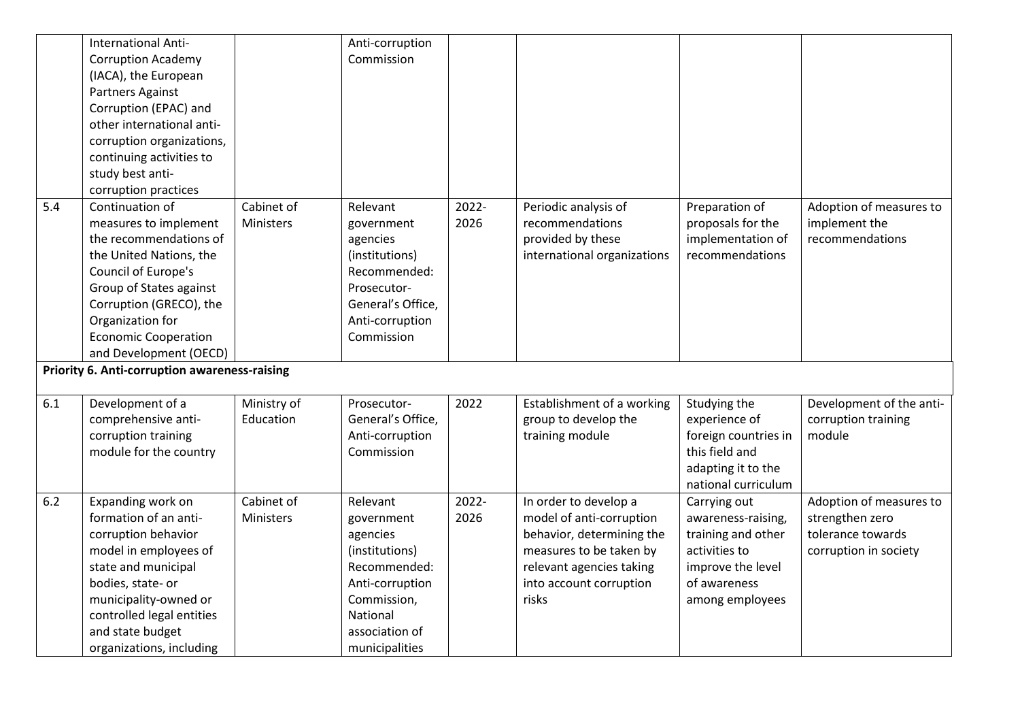|       | <b>International Anti-</b>                    |             | Anti-corruption   |       |                             |                      |                          |
|-------|-----------------------------------------------|-------------|-------------------|-------|-----------------------------|----------------------|--------------------------|
|       | <b>Corruption Academy</b>                     |             | Commission        |       |                             |                      |                          |
|       | (IACA), the European                          |             |                   |       |                             |                      |                          |
|       | Partners Against                              |             |                   |       |                             |                      |                          |
|       | Corruption (EPAC) and                         |             |                   |       |                             |                      |                          |
|       | other international anti-                     |             |                   |       |                             |                      |                          |
|       | corruption organizations,                     |             |                   |       |                             |                      |                          |
|       | continuing activities to                      |             |                   |       |                             |                      |                          |
|       | study best anti-                              |             |                   |       |                             |                      |                          |
|       | corruption practices                          |             |                   |       |                             |                      |                          |
| 5.4   | Continuation of                               | Cabinet of  | Relevant          | 2022- | Periodic analysis of        | Preparation of       | Adoption of measures to  |
|       | measures to implement                         | Ministers   | government        | 2026  | recommendations             | proposals for the    | implement the            |
|       | the recommendations of                        |             | agencies          |       | provided by these           | implementation of    | recommendations          |
|       | the United Nations, the                       |             | (institutions)    |       | international organizations | recommendations      |                          |
|       | Council of Europe's                           |             | Recommended:      |       |                             |                      |                          |
|       | Group of States against                       |             | Prosecutor-       |       |                             |                      |                          |
|       | Corruption (GRECO), the                       |             | General's Office, |       |                             |                      |                          |
|       | Organization for                              |             | Anti-corruption   |       |                             |                      |                          |
|       | <b>Economic Cooperation</b>                   |             | Commission        |       |                             |                      |                          |
|       | and Development (OECD)                        |             |                   |       |                             |                      |                          |
|       |                                               |             |                   |       |                             |                      |                          |
|       | Priority 6. Anti-corruption awareness-raising |             |                   |       |                             |                      |                          |
|       |                                               |             |                   |       |                             |                      |                          |
| 6.1   | Development of a                              | Ministry of | Prosecutor-       | 2022  | Establishment of a working  | Studying the         | Development of the anti- |
|       | comprehensive anti-                           | Education   | General's Office, |       | group to develop the        | experience of        | corruption training      |
|       | corruption training                           |             | Anti-corruption   |       | training module             | foreign countries in | module                   |
|       | module for the country                        |             | Commission        |       |                             | this field and       |                          |
|       |                                               |             |                   |       |                             | adapting it to the   |                          |
|       |                                               |             |                   |       |                             | national curriculum  |                          |
| $6.2$ | Expanding work on                             | Cabinet of  | Relevant          | 2022- | In order to develop a       | Carrying out         | Adoption of measures to  |
|       | formation of an anti-                         | Ministers   | government        | 2026  | model of anti-corruption    | awareness-raising,   | strengthen zero          |
|       | corruption behavior                           |             | agencies          |       | behavior, determining the   | training and other   | tolerance towards        |
|       | model in employees of                         |             | (institutions)    |       | measures to be taken by     | activities to        | corruption in society    |
|       | state and municipal                           |             | Recommended:      |       | relevant agencies taking    | improve the level    |                          |
|       | bodies, state- or                             |             | Anti-corruption   |       | into account corruption     | of awareness         |                          |
|       | municipality-owned or                         |             | Commission,       |       | risks                       | among employees      |                          |
|       | controlled legal entities                     |             | National          |       |                             |                      |                          |
|       | and state budget                              |             | association of    |       |                             |                      |                          |
|       | organizations, including                      |             | municipalities    |       |                             |                      |                          |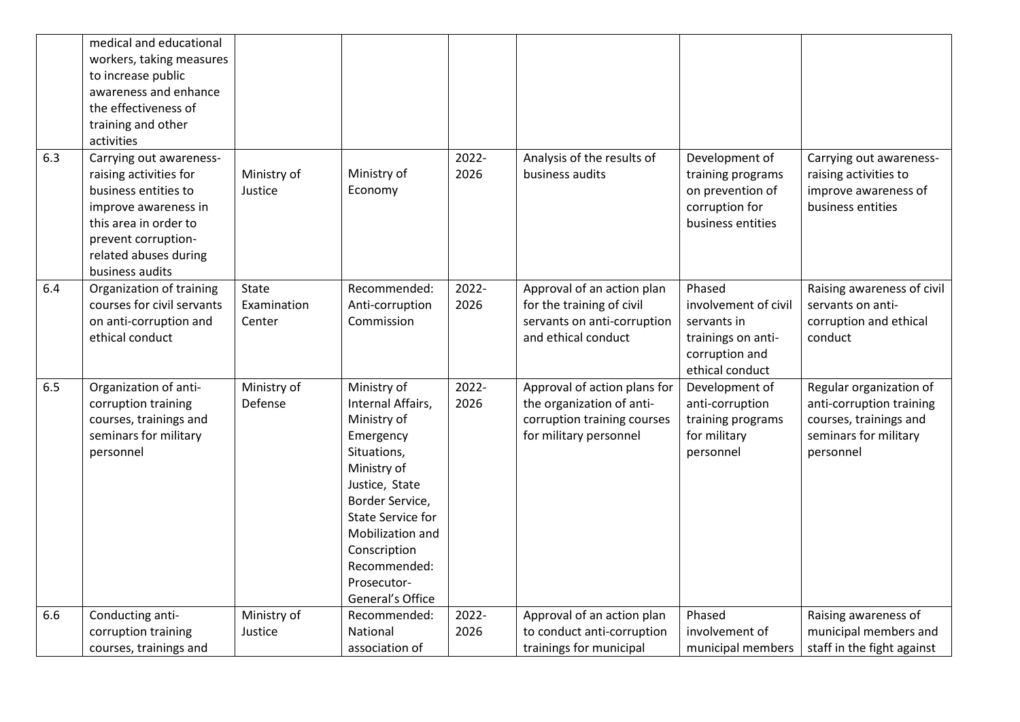|     | medical and educational<br>workers, taking measures<br>to increase public<br>awareness and enhance<br>the effectiveness of<br>training and other<br>activities                                |                                |                                                                                                                                                                                                                                                    |               |                                                                                                                    |                                                                                                          |                                                                                                                     |
|-----|-----------------------------------------------------------------------------------------------------------------------------------------------------------------------------------------------|--------------------------------|----------------------------------------------------------------------------------------------------------------------------------------------------------------------------------------------------------------------------------------------------|---------------|--------------------------------------------------------------------------------------------------------------------|----------------------------------------------------------------------------------------------------------|---------------------------------------------------------------------------------------------------------------------|
| 6.3 | Carrying out awareness-<br>raising activities for<br>business entities to<br>improve awareness in<br>this area in order to<br>prevent corruption-<br>related abuses during<br>business audits | Ministry of<br>Justice         | Ministry of<br>Economy                                                                                                                                                                                                                             | 2022-<br>2026 | Analysis of the results of<br>business audits                                                                      | Development of<br>training programs<br>on prevention of<br>corruption for<br>business entities           | Carrying out awareness-<br>raising activities to<br>improve awareness of<br>business entities                       |
| 6.4 | Organization of training<br>courses for civil servants<br>on anti-corruption and<br>ethical conduct                                                                                           | State<br>Examination<br>Center | Recommended:<br>Anti-corruption<br>Commission                                                                                                                                                                                                      | 2022-<br>2026 | Approval of an action plan<br>for the training of civil<br>servants on anti-corruption<br>and ethical conduct      | Phased<br>involvement of civil<br>servants in<br>trainings on anti-<br>corruption and<br>ethical conduct | Raising awareness of civil<br>servants on anti-<br>corruption and ethical<br>conduct                                |
| 6.5 | Organization of anti-<br>corruption training<br>courses, trainings and<br>seminars for military<br>personnel                                                                                  | Ministry of<br>Defense         | Ministry of<br>Internal Affairs,<br>Ministry of<br>Emergency<br>Situations,<br>Ministry of<br>Justice, State<br>Border Service,<br><b>State Service for</b><br>Mobilization and<br>Conscription<br>Recommended:<br>Prosecutor-<br>General's Office | 2022-<br>2026 | Approval of action plans for<br>the organization of anti-<br>corruption training courses<br>for military personnel | Development of<br>anti-corruption<br>training programs<br>for military<br>personnel                      | Regular organization of<br>anti-corruption training<br>courses, trainings and<br>seminars for military<br>personnel |
| 6.6 | Conducting anti-<br>corruption training<br>courses, trainings and                                                                                                                             | Ministry of<br>Justice         | Recommended:<br>National<br>association of                                                                                                                                                                                                         | 2022-<br>2026 | Approval of an action plan<br>to conduct anti-corruption<br>trainings for municipal                                | Phased<br>involvement of<br>municipal members                                                            | Raising awareness of<br>municipal members and<br>staff in the fight against                                         |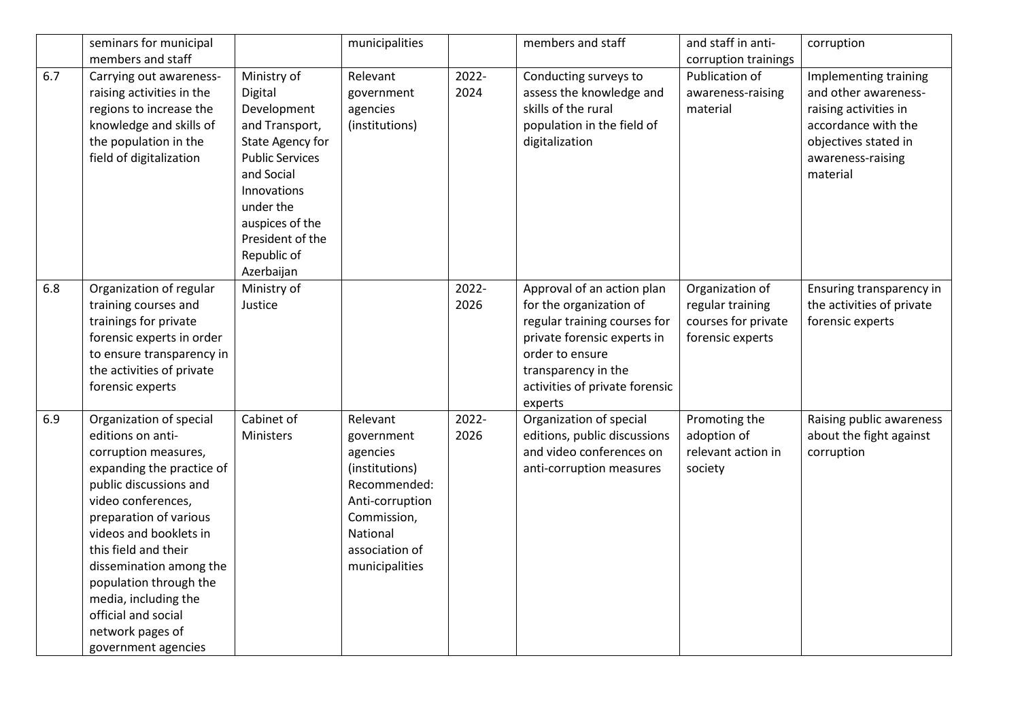|     | seminars for municipal                                                                                                                                                                                                                                                                                                                                                       |                                                                                                                                                                                                                     | municipalities                                                                                                                                         |               | members and staff                                                                                                                                                                                           | and staff in anti-                                                             | corruption                                                                                                                                             |
|-----|------------------------------------------------------------------------------------------------------------------------------------------------------------------------------------------------------------------------------------------------------------------------------------------------------------------------------------------------------------------------------|---------------------------------------------------------------------------------------------------------------------------------------------------------------------------------------------------------------------|--------------------------------------------------------------------------------------------------------------------------------------------------------|---------------|-------------------------------------------------------------------------------------------------------------------------------------------------------------------------------------------------------------|--------------------------------------------------------------------------------|--------------------------------------------------------------------------------------------------------------------------------------------------------|
|     | members and staff                                                                                                                                                                                                                                                                                                                                                            |                                                                                                                                                                                                                     |                                                                                                                                                        |               |                                                                                                                                                                                                             | corruption trainings                                                           |                                                                                                                                                        |
| 6.7 | Carrying out awareness-<br>raising activities in the<br>regions to increase the<br>knowledge and skills of<br>the population in the<br>field of digitalization                                                                                                                                                                                                               | Ministry of<br>Digital<br>Development<br>and Transport,<br>State Agency for<br><b>Public Services</b><br>and Social<br>Innovations<br>under the<br>auspices of the<br>President of the<br>Republic of<br>Azerbaijan | Relevant<br>government<br>agencies<br>(institutions)                                                                                                   | 2022-<br>2024 | Conducting surveys to<br>assess the knowledge and<br>skills of the rural<br>population in the field of<br>digitalization                                                                                    | Publication of<br>awareness-raising<br>material                                | Implementing training<br>and other awareness-<br>raising activities in<br>accordance with the<br>objectives stated in<br>awareness-raising<br>material |
| 6.8 | Organization of regular<br>training courses and<br>trainings for private<br>forensic experts in order<br>to ensure transparency in<br>the activities of private<br>forensic experts                                                                                                                                                                                          | Ministry of<br>Justice                                                                                                                                                                                              |                                                                                                                                                        | 2022-<br>2026 | Approval of an action plan<br>for the organization of<br>regular training courses for<br>private forensic experts in<br>order to ensure<br>transparency in the<br>activities of private forensic<br>experts | Organization of<br>regular training<br>courses for private<br>forensic experts | Ensuring transparency in<br>the activities of private<br>forensic experts                                                                              |
| 6.9 | Organization of special<br>editions on anti-<br>corruption measures,<br>expanding the practice of<br>public discussions and<br>video conferences,<br>preparation of various<br>videos and booklets in<br>this field and their<br>dissemination among the<br>population through the<br>media, including the<br>official and social<br>network pages of<br>government agencies | Cabinet of<br>Ministers                                                                                                                                                                                             | Relevant<br>government<br>agencies<br>(institutions)<br>Recommended:<br>Anti-corruption<br>Commission,<br>National<br>association of<br>municipalities | 2022-<br>2026 | Organization of special<br>editions, public discussions<br>and video conferences on<br>anti-corruption measures                                                                                             | Promoting the<br>adoption of<br>relevant action in<br>society                  | Raising public awareness<br>about the fight against<br>corruption                                                                                      |